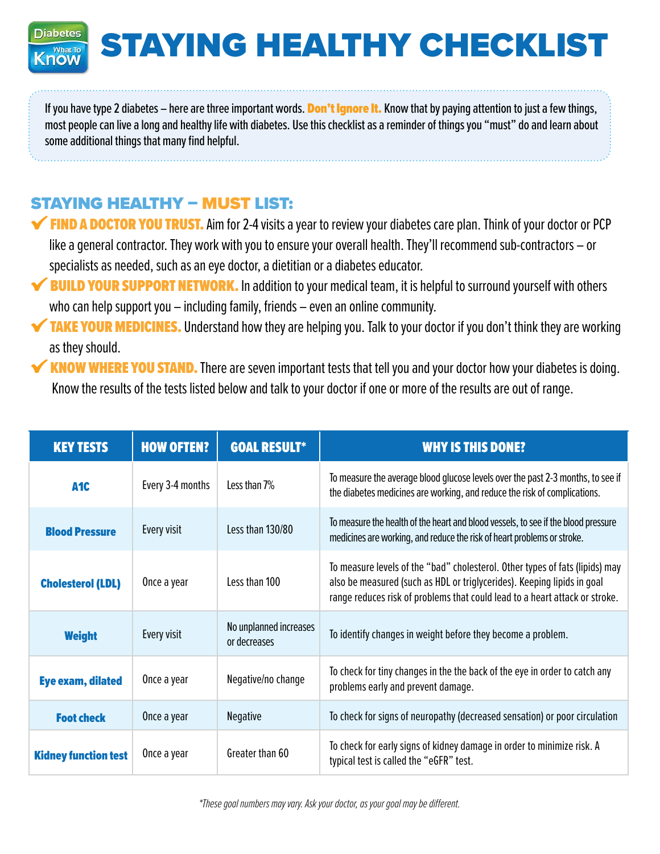**Diabetes** STAYING HEALTHY CHECKLIST **What To** Know

If you have type 2 diabetes – here are three important words. Don't Ignore It. Know that by paying attention to just a few things, most people can live a long and healthy life with diabetes. Use this checklist as a reminder of things you "must" do and learn about some additional things that many find helpful.

## STAYING HEALTHY – MUST LIST:

- **FIND A DOCTOR YOU TRUST.** Aim for 2-4 visits a year to review your diabetes care plan. Think of your doctor or PCP like a general contractor. They work with you to ensure your overall health. They'll recommend sub-contractors – or specialists as needed, such as an eye doctor, a dietitian or a diabetes educator.
- **V BUILD YOUR SUPPORT NETWORK.** In addition to your medical team, it is helpful to surround yourself with others who can help support you – including family, friends – even an online community.
- TAKE YOUR MEDICINES. Understand how they are helping you. Talk to your doctor if you don't think they are working as they should.
- KNOW WHERE YOU STAND. There are seven important tests that tell you and your doctor how your diabetes is doing. Know the results of the tests listed below and talk to your doctor if one or more of the results are out of range.

| <b>KEY TESTS</b>            | <b>HOW OFTEN?</b> | <b>GOAL RESULT*</b>                    | <b>WHY IS THIS DONE?</b>                                                                                                                                                                                                               |
|-----------------------------|-------------------|----------------------------------------|----------------------------------------------------------------------------------------------------------------------------------------------------------------------------------------------------------------------------------------|
| A <sub>1</sub> C            | Every 3-4 months  | Less than 7%                           | To measure the average blood glucose levels over the past 2-3 months, to see if<br>the diabetes medicines are working, and reduce the risk of complications.                                                                           |
| <b>Blood Pressure</b>       | Every visit       | Less than 130/80                       | To measure the health of the heart and blood vessels, to see if the blood pressure<br>medicines are working, and reduce the risk of heart problems or stroke.                                                                          |
| <b>Cholesterol (LDL)</b>    | Once a year       | Less than 100                          | To measure levels of the "bad" cholesterol. Other types of fats (lipids) may<br>also be measured (such as HDL or triglycerides). Keeping lipids in goal<br>range reduces risk of problems that could lead to a heart attack or stroke. |
| <b>Weight</b>               | Every visit       | No unplanned increases<br>or decreases | To identify changes in weight before they become a problem.                                                                                                                                                                            |
| <b>Eye exam, dilated</b>    | Once a year       | Negative/no change                     | To check for tiny changes in the the back of the eye in order to catch any<br>problems early and prevent damage.                                                                                                                       |
| <b>Foot check</b>           | Once a year       | <b>Negative</b>                        | To check for signs of neuropathy (decreased sensation) or poor circulation                                                                                                                                                             |
| <b>Kidney function test</b> | Once a year       | Greater than 60                        | To check for early signs of kidney damage in order to minimize risk. A<br>typical test is called the "eGFR" test.                                                                                                                      |